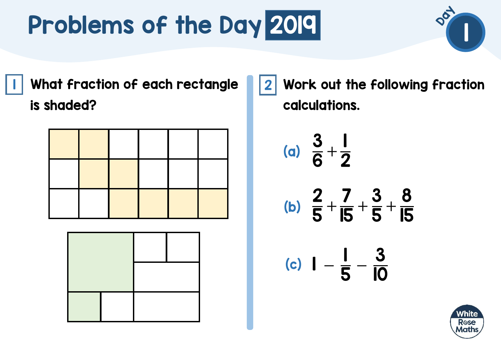I | What fraction of each rectangle ||2 is shaded?

Work out the following fraction calculations.

(a) 
$$
\frac{3}{6} + \frac{1}{2}
$$
  
\n(b)  $\frac{2}{5} + \frac{7}{15} + \frac{3}{5} + \frac{8}{15}$   
\n(c)  $1 - \frac{1}{5} - \frac{3}{10}$ 



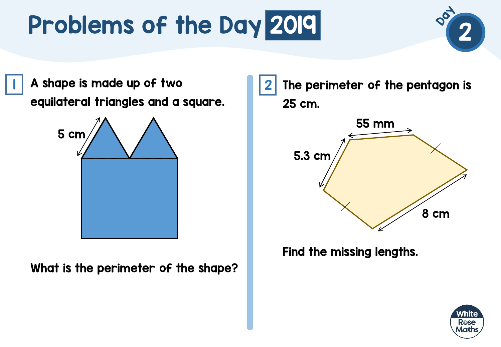$\begin{array}{|c|c|c|c|}\hline \text{\textbf{I}} & \text{\textbf{A}} & \text{\textbf{shape}} & \text{\textbf{I}} & \text{\textbf{I}} & \text{\textbf{I}} & \text{\textbf{I}} & \text{\textbf{I}} & \text{\textbf{I}} & \text{\textbf{I}} & \text{\textbf{I}} & \text{\textbf{I}} & \text{\textbf{I}} & \text{\textbf{I}} & \text{\textbf{I}} & \text{\textbf{I}} & \text{\textbf{I}} & \text{\textbf{I}} & \text{\textbf{I}} & \text{\textbf{I}} & \text{\textbf{I}} & \text{\textbf{I}} & \text{\textbf$ equilateral triangles and a square.



What is the perimeter of the shape?



Find the missing lengths.



2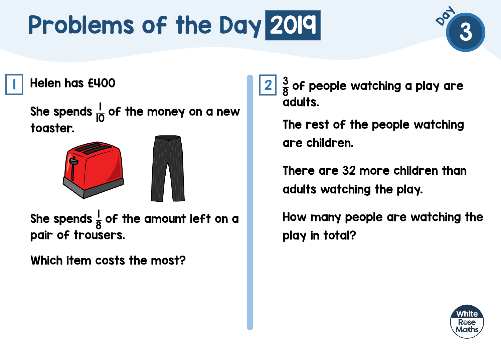

Helen has £400 1 2

She spends  $\frac{1}{10}$  of the money on a new toaster.



She spends  $\frac{1}{6}$ 8 of the amount left on a pair of trousers.

Which item costs the most?

3 8 of people watching a play are adults.

The rest of the people watching are children.

There are 32 more children than adults watching the play.

How many people are watching the play in total?

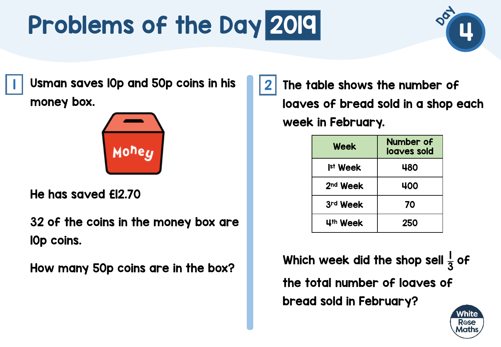

 $\mid \; \mid$  Usman saves l0p and 50p coins in his  $\mid \; \mid 2$ money box.



He has saved £12.70

32 of the coins in the money box are 10p coins.

How many 50p coins are in the box?

The table shows the number of loaves of bread sold in a shop each week in February.

| Week                 | Number of<br>loaves sold |
|----------------------|--------------------------|
| Ist Week             | 480                      |
| 2 <sup>nd</sup> Week | 400                      |
| 3rd Week             | 70                       |
| 4th Week             | <b>250</b>               |

Which week did the shop sell  $\frac{1}{2}$ 3 of the total number of loaves of bread sold in February?

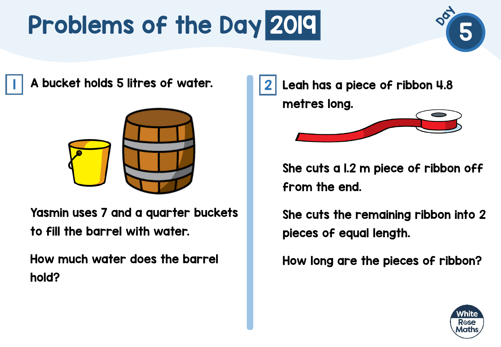

 $\mid \mid$  A bucket holds 5 litres of water.  $\mid \mid \mid 2$ 



Yasmin uses 7 and a quarter buckets to fill the barrel with water.

How much water does the barrel hold?



She cuts a 1.2 m piece of ribbon off from the end.

She cuts the remaining ribbon into 2 pieces of equal length.

How long are the pieces of ribbon?

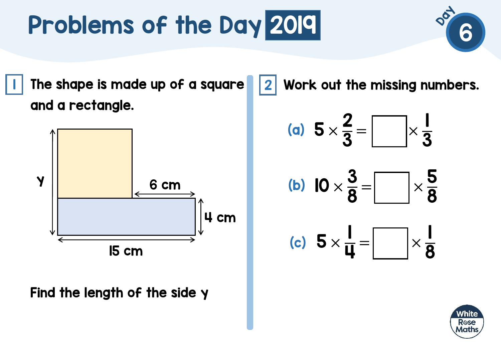$\blacksquare$  The shape is made up of a square  $\blacksquare\hspace{-0.25mm}\rule{0.7mm}{1.1mm}\hspace{0.25mm}$ and a rectangle.



Find the length of the side y

Work out the missing numbers.

(a) 
$$
5 \times \frac{2}{3} = \boxed{\phantom{0}} \times \frac{1}{3}
$$

(b) 
$$
10 \times \frac{3}{8} = \boxed{\phantom{0}} \times \frac{5}{8}
$$

(c) 
$$
5 \times \frac{1}{4} = \boxed{\phantom{0}} \times \frac{1}{8}
$$

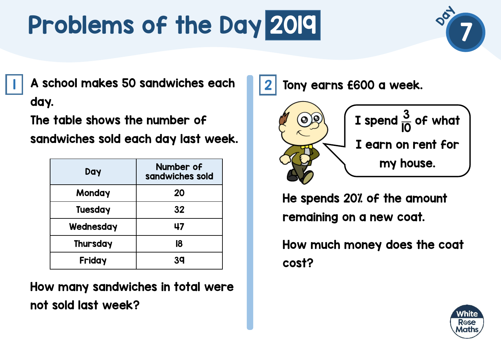

A school makes 50 sandwiches each 1 2 day.

The table shows the number of

sandwiches sold each day last week.

| Day            | Number of<br>sandwiches sold |
|----------------|------------------------------|
| Monday         | 20                           |
| <b>Tuesday</b> | 32                           |
| Wednesday      | 47                           |
| Thursday       | 18                           |
| Friday         | 39                           |

How many sandwiches in total were not sold last week?

Tony earns £600 a week.



He spends 20% of the amount remaining on a new coat.

How much money does the coat cost?

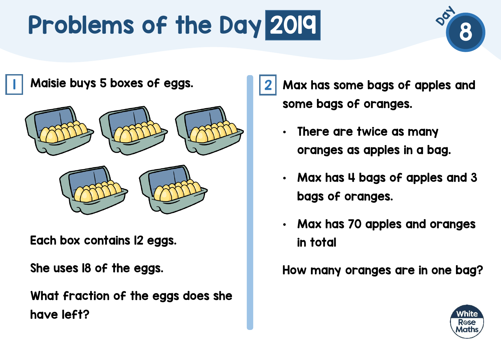

Maisie buys 5 boxes of eggs. 1 2



Each box contains 12 eggs.

She uses 18 of the eggs.

What fraction of the eggs does she have left?

Max has some bags of apples and some bags of oranges.

- There are twice as many oranges as apples in a bag.
- Max has 4 bags of apples and 3 bags of oranges.
- Max has 70 apples and oranges in total

How many oranges are in one bag?

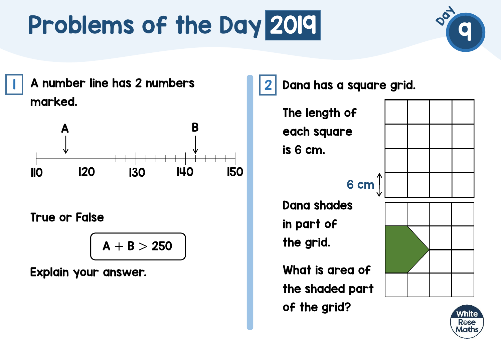

|| A number line has 2 numbers || 2 || 2 marked.



True or False

$$
A+B>250
$$

Explain your answer.

Dana has a square grid.

The length of each square is 6 cm.

6 cm

Dana shades in part of the grid.

What is area of the shaded part of the grid?



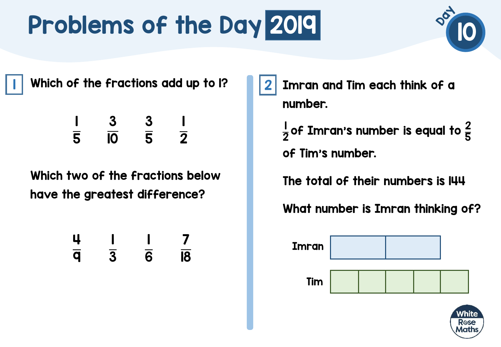

 $\textsf{I} \parallel$  Which of the fractions add up to I?  $\textsf{I} \parallel \textsf{2}$ 

$$
\frac{1}{5} \quad \frac{3}{10} \quad \frac{3}{5} \quad \frac{1}{2}
$$

Which two of the fractions below have the greatest difference?

$$
\frac{4}{9} \quad \frac{1}{3} \quad \frac{1}{6} \quad \frac{7}{18}
$$

Imran and Tim each think of a number.

 of Imran's number is equal to  $\frac{2}{\pi}$  of Tim's number.

The total of their numbers is 144

What number is Imran thinking of?



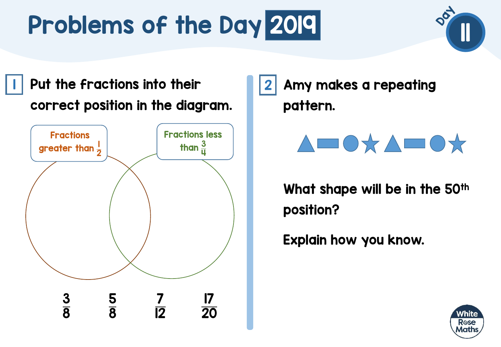**1** Put the fractions into their **1** 2 correct position in the diagram.



Amy makes a repeating pattern.



What shape will be in the 50<sup>th</sup> position?

Explain how you know.

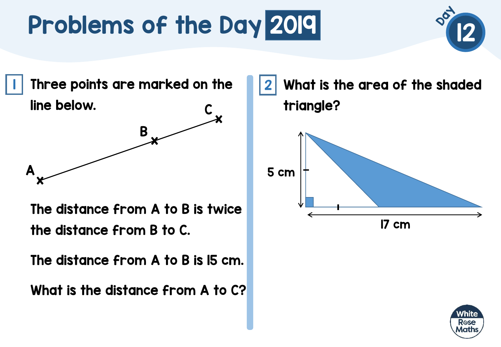

 $\blacksquare$  Three points are marked on the  $\blacksquare\blacksquare\blacksquare$ line below. C



The distance from A to B is twice the distance from B to C.

The distance from A to B is 15 cm.

What is the distance from A to C?

What is the area of the shaded triangle? 17 cm 5 cm

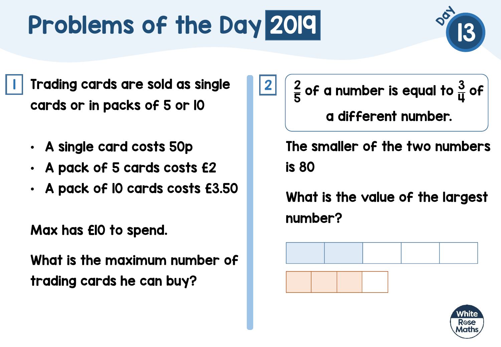

- A single card costs 50p
- A pack of 5 cards costs £2
- A pack of 10 cards costs £3.50

Max has £10 to spend.

What is the maximum number of trading cards he can buy?

2 5 of a number is equal to  $\frac{3}{11}$ ц of a different number.

The smaller of the two numbers is 80

What is the value of the largest number?





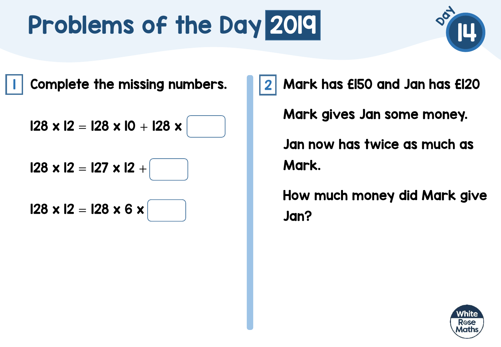

I Complete the missing numbers. 12

 $128 \times 12 = 128 \times 10 + 128 \times$ 

 $128 \times 12 = 127 \times 12 +$ 

 $128 \times 12 = 128 \times 6 \times$ 

Mark has £150 and Jan has £120 Mark gives Jan some money. Jan now has twice as much as Mark.

How much money did Mark give Jan?

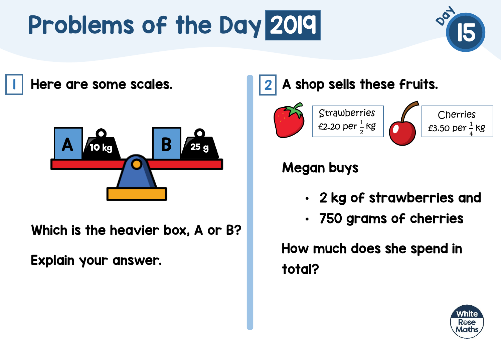

Here are some scales. 1 2



Which is the heavier box, A or B?

Explain your answer.

#### A shop sells these fruits.



#### Megan buys

- 2 kg of strawberries and
- 750 grams of cherries

How much does she spend in total?

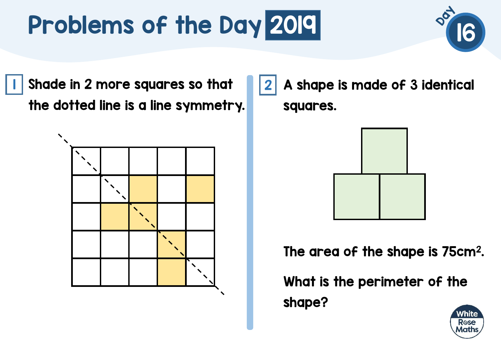

I Shade in 2 more squares so that III 2 the dotted line is a line symmetry.



A shape is made of 3 identical squares.



The area of the shape is 75cm<sup>2</sup>.

What is the perimeter of the shape?

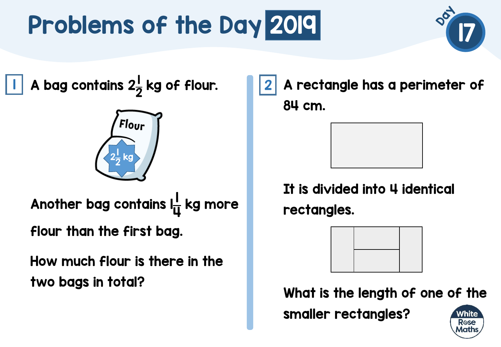

A bag contains  $2\frac{1}{2}$ 2  $\vert \vert$  A bag contains 2 $\frac{1}{2}$  kg of flour.  $\vert \vert \vert 2$ 



Another bag contains latt 4 kg more flour than the first bag.

How much flour is there in the two bags in total?

A rectangle has a perimeter of 84 cm.



It is divided into 4 identical rectangles.



What is the length of one of the

smaller rectangles?

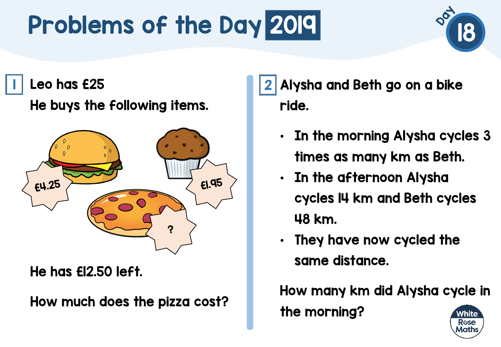# Problems of the Day 2019 Problems of the Day 2019



Leo has £25 1 2

He buys the following items.



He has £12.50 left.

How much does the pizza cost?

Alysha and Beth go on a bike ride.

- In the morning Alysha cycles 3 times as many km as Beth.
- In the afternoon Alysha cycles 14 km and Beth cycles 48 km.
- They have now cycled the same distance.

How many km did Alysha cycle in

the morning?

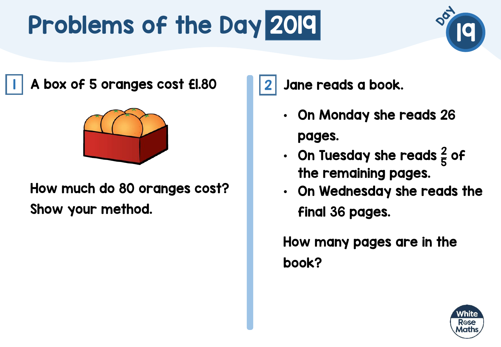

A box of 5 oranges cost £1.80 1 2



How much do 80 oranges cost? Show your method.

Jane reads a book.

- On Monday she reads 26 pages.
- On Tuesday she reads  $\frac{2}{5}$ 5 of the remaining pages.
- On Wednesday she reads the final 36 pages.

How many pages are in the book?